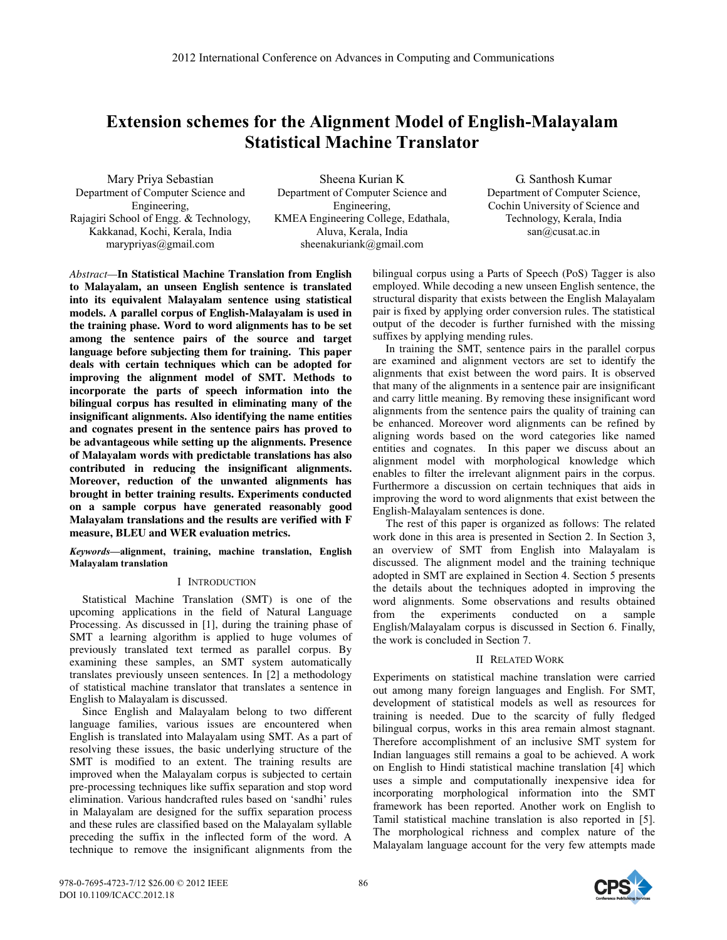# **Extension schemes for the Alignment Model of English-Malayalam Statistical Machine Translator**

Mary Priya Sebastian Department of Computer Science and Engineering, Rajagiri School of Engg. & Technology, Kakkanad, Kochi, Kerala, India marypriyas@gmail.com

Sheena Kurian K Department of Computer Science and Engineering, KMEA Engineering College, Edathala, Aluva, Kerala, India sheenakuriank@gmail.com

G. Santhosh Kumar Department of Computer Science, Cochin University of Science and Technology, Kerala, India san@cusat.ac.in

*Abstract—***In Statistical Machine Translation from English to Malayalam, an unseen English sentence is translated into its equivalent Malayalam sentence using statistical models. A parallel corpus of English-Malayalam is used in the training phase. Word to word alignments has to be set among the sentence pairs of the source and target language before subjecting them for training. This paper deals with certain techniques which can be adopted for improving the alignment model of SMT. Methods to incorporate the parts of speech information into the bilingual corpus has resulted in eliminating many of the insignificant alignments. Also identifying the name entities and cognates present in the sentence pairs has proved to be advantageous while setting up the alignments. Presence of Malayalam words with predictable translations has also contributed in reducing the insignificant alignments. Moreover, reduction of the unwanted alignments has brought in better training results. Experiments conducted on a sample corpus have generated reasonably good Malayalam translations and the results are verified with F measure, BLEU and WER evaluation metrics.** 

*Keywords—***alignment, training, machine translation, English Malayalam translation**

# I INTRODUCTION

Statistical Machine Translation (SMT) is one of the upcoming applications in the field of Natural Language Processing. As discussed in [1], during the training phase of SMT a learning algorithm is applied to huge volumes of previously translated text termed as parallel corpus. By examining these samples, an SMT system automatically translates previously unseen sentences. In [2] a methodology of statistical machine translator that translates a sentence in English to Malayalam is discussed.

Since English and Malayalam belong to two different language families, various issues are encountered when English is translated into Malayalam using SMT. As a part of resolving these issues, the basic underlying structure of the SMT is modified to an extent. The training results are improved when the Malayalam corpus is subjected to certain pre-processing techniques like suffix separation and stop word elimination. Various handcrafted rules based on 'sandhi' rules in Malayalam are designed for the suffix separation process and these rules are classified based on the Malayalam syllable preceding the suffix in the inflected form of the word. A technique to remove the insignificant alignments from the

bilingual corpus using a Parts of Speech (PoS) Tagger is also employed. While decoding a new unseen English sentence, the structural disparity that exists between the English Malayalam pair is fixed by applying order conversion rules. The statistical output of the decoder is further furnished with the missing suffixes by applying mending rules.

In training the SMT, sentence pairs in the parallel corpus are examined and alignment vectors are set to identify the alignments that exist between the word pairs. It is observed that many of the alignments in a sentence pair are insignificant and carry little meaning. By removing these insignificant word alignments from the sentence pairs the quality of training can be enhanced. Moreover word alignments can be refined by aligning words based on the word categories like named entities and cognates. In this paper we discuss about an alignment model with morphological knowledge which enables to filter the irrelevant alignment pairs in the corpus. Furthermore a discussion on certain techniques that aids in improving the word to word alignments that exist between the English-Malayalam sentences is done.

The rest of this paper is organized as follows: The related work done in this area is presented in Section 2. In Section 3, an overview of SMT from English into Malayalam is discussed. The alignment model and the training technique adopted in SMT are explained in Section 4. Section 5 presents the details about the techniques adopted in improving the word alignments. Some observations and results obtained from the experiments conducted on a sample English/Malayalam corpus is discussed in Section 6. Finally, the work is concluded in Section 7.

## II RELATED WORK

Experiments on statistical machine translation were carried out among many foreign languages and English. For SMT, development of statistical models as well as resources for training is needed. Due to the scarcity of fully fledged bilingual corpus, works in this area remain almost stagnant. Therefore accomplishment of an inclusive SMT system for Indian languages still remains a goal to be achieved. A work on English to Hindi statistical machine translation [4] which uses a simple and computationally inexpensive idea for incorporating morphological information into the SMT framework has been reported. Another work on English to Tamil statistical machine translation is also reported in [5]. The morphological richness and complex nature of the Malayalam language account for the very few attempts made

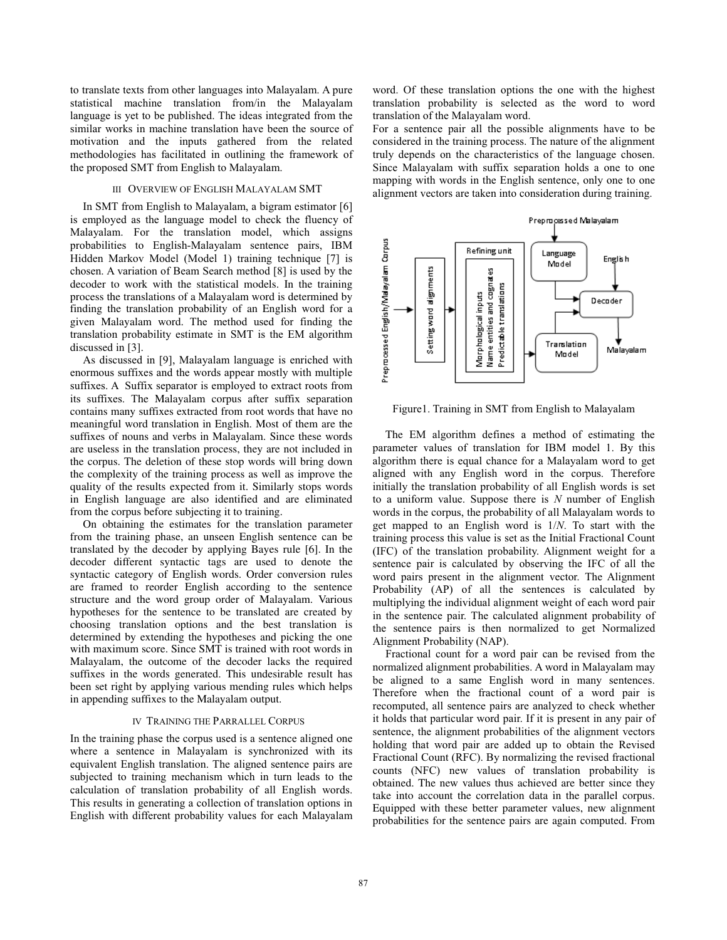to translate texts from other languages into Malayalam. A pure statistical machine translation from/in the Malayalam language is yet to be published. The ideas integrated from the similar works in machine translation have been the source of motivation and the inputs gathered from the related methodologies has facilitated in outlining the framework of the proposed SMT from English to Malayalam.

## III OVERVIEW OF ENGLISH MALAYALAM SMT

In SMT from English to Malayalam, a bigram estimator [6] is employed as the language model to check the fluency of Malayalam. For the translation model, which assigns probabilities to English-Malayalam sentence pairs, IBM Hidden Markov Model (Model 1) training technique [7] is chosen. A variation of Beam Search method [8] is used by the decoder to work with the statistical models. In the training process the translations of a Malayalam word is determined by finding the translation probability of an English word for a given Malayalam word. The method used for finding the translation probability estimate in SMT is the EM algorithm discussed in [3].

As discussed in [9], Malayalam language is enriched with enormous suffixes and the words appear mostly with multiple suffixes. A Suffix separator is employed to extract roots from its suffixes. The Malayalam corpus after suffix separation contains many suffixes extracted from root words that have no meaningful word translation in English. Most of them are the suffixes of nouns and verbs in Malayalam. Since these words are useless in the translation process, they are not included in the corpus. The deletion of these stop words will bring down the complexity of the training process as well as improve the quality of the results expected from it. Similarly stops words in English language are also identified and are eliminated from the corpus before subjecting it to training.

On obtaining the estimates for the translation parameter from the training phase, an unseen English sentence can be translated by the decoder by applying Bayes rule [6]. In the decoder different syntactic tags are used to denote the syntactic category of English words. Order conversion rules are framed to reorder English according to the sentence structure and the word group order of Malayalam. Various hypotheses for the sentence to be translated are created by choosing translation options and the best translation is determined by extending the hypotheses and picking the one with maximum score. Since SMT is trained with root words in Malayalam, the outcome of the decoder lacks the required suffixes in the words generated. This undesirable result has been set right by applying various mending rules which helps in appending suffixes to the Malayalam output.

## IV TRAINING THE PARRALLEL CORPUS

In the training phase the corpus used is a sentence aligned one where a sentence in Malayalam is synchronized with its equivalent English translation. The aligned sentence pairs are subjected to training mechanism which in turn leads to the calculation of translation probability of all English words. This results in generating a collection of translation options in English with different probability values for each Malayalam word. Of these translation options the one with the highest translation probability is selected as the word to word translation of the Malayalam word.

For a sentence pair all the possible alignments have to be considered in the training process. The nature of the alignment truly depends on the characteristics of the language chosen. Since Malayalam with suffix separation holds a one to one mapping with words in the English sentence, only one to one alignment vectors are taken into consideration during training.



Figure1. Training in SMT from English to Malayalam

The EM algorithm defines a method of estimating the parameter values of translation for IBM model 1. By this algorithm there is equal chance for a Malayalam word to get aligned with any English word in the corpus. Therefore initially the translation probability of all English words is set to a uniform value. Suppose there is *N* number of English words in the corpus, the probability of all Malayalam words to get mapped to an English word is 1/*N*. To start with the training process this value is set as the Initial Fractional Count (IFC) of the translation probability. Alignment weight for a sentence pair is calculated by observing the IFC of all the word pairs present in the alignment vector. The Alignment Probability (AP) of all the sentences is calculated by multiplying the individual alignment weight of each word pair in the sentence pair. The calculated alignment probability of the sentence pairs is then normalized to get Normalized Alignment Probability (NAP).

Fractional count for a word pair can be revised from the normalized alignment probabilities. A word in Malayalam may be aligned to a same English word in many sentences. Therefore when the fractional count of a word pair is recomputed, all sentence pairs are analyzed to check whether it holds that particular word pair. If it is present in any pair of sentence, the alignment probabilities of the alignment vectors holding that word pair are added up to obtain the Revised Fractional Count (RFC). By normalizing the revised fractional counts (NFC) new values of translation probability is obtained. The new values thus achieved are better since they take into account the correlation data in the parallel corpus. Equipped with these better parameter values, new alignment probabilities for the sentence pairs are again computed. From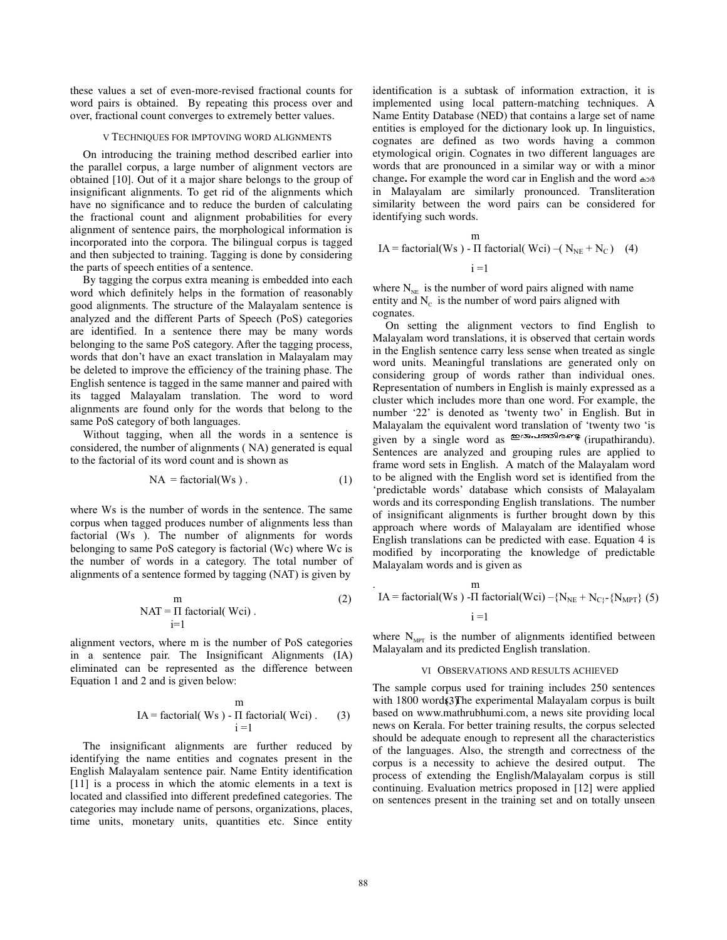these values a set of even-more-revised fractional counts for word pairs is obtained. By repeating this process over and over, fractional count converges to extremely better values.

#### V TECHNIQUES FOR IMPTOVING WORD ALIGNMENTS

On introducing the training method described earlier into the parallel corpus, a large number of alignment vectors are obtained [10]. Out of it a major share belongs to the group of insignificant alignments. To get rid of the alignments which have no significance and to reduce the burden of calculating the fractional count and alignment probabilities for every alignment of sentence pairs, the morphological information is incorporated into the corpora. The bilingual corpus is tagged and then subjected to training. Tagging is done by considering the parts of speech entities of a sentence.

By tagging the corpus extra meaning is embedded into each word which definitely helps in the formation of reasonably good alignments. The structure of the Malayalam sentence is analyzed and the different Parts of Speech (PoS) categories are identified. In a sentence there may be many words belonging to the same PoS category. After the tagging process, words that don't have an exact translation in Malayalam may be deleted to improve the efficiency of the training phase. The English sentence is tagged in the same manner and paired with its tagged Malayalam translation. The word to word alignments are found only for the words that belong to the same PoS category of both languages.

Without tagging, when all the words in a sentence is considered, the number of alignments ( NA) generated is equal to the factorial of its word count and is shown as

$$
NA = factorial(Ws) . \t(1)
$$

where Ws is the number of words in the sentence. The same corpus when tagged produces number of alignments less than factorial (Ws ). The number of alignments for words belonging to same PoS category is factorial (Wc) where Wc is the number of words in a category. The total number of alignments of a sentence formed by tagging (NAT) is given by

$$
NAT = \Pi \text{ factorial}(\text{Wei}).
$$
\n<sup>(2)</sup>\n<sub>i=1</sub>

alignment vectors, where m is the number of PoS categories in a sentence pair. The Insignificant Alignments (IA) eliminated can be represented as the difference between Equation 1 and 2 and is given below:

$$
IA = factorial(Ws) - \Pi factorial(Wci).
$$
 (3)  

$$
i = 1
$$

The insignificant alignments are further reduced by identifying the name entities and cognates present in the English Malayalam sentence pair. Name Entity identification [11] is a process in which the atomic elements in a text is located and classified into different predefined categories. The categories may include name of persons, organizations, places, time units, monetary units, quantities etc. Since entity identification is a subtask of information extraction, it is implemented using local pattern-matching techniques. A Name Entity Database (NED) that contains a large set of name entities is employed for the dictionary look up. In linguistics, cognates are defined as two words having a common etymological origin. Cognates in two different languages are words that are pronounced in a similar way or with a minor change. For example the word car in English and the word  $\omega$ in Malayalam are similarly pronounced. Transliteration similarity between the word pairs can be considered for identifying such words.

$$
IA = factorial(Ws) - \Pi factorial(Wci) - (N_{NE} + N_C) \quad (4)
$$
  
  $i = 1$ 

where  $N_{NE}$  is the number of word pairs aligned with name entity and  $N_c$  is the number of word pairs aligned with cognates.

On setting the alignment vectors to find English to Malayalam word translations, it is observed that certain words in the English sentence carry less sense when treated as single word units. Meaningful translations are generated only on considering group of words rather than individual ones. Representation of numbers in English is mainly expressed as a cluster which includes more than one word. For example, the number '22' is denoted as 'twenty two' in English. But in Malayalam the equivalent word translation of 'twenty two 'is given by a single word as **example of the state** (irupathirandu). Sentences are analyzed and grouping rules are applied to frame word sets in English. A match of the Malayalam word to be aligned with the English word set is identified from the 'predictable words' database which consists of Malayalam words and its corresponding English translations. The number of insignificant alignments is further brought down by this approach where words of Malayalam are identified whose English translations can be predicted with ease. Equation 4 is modified by incorporating the knowledge of predictable Malayalam words and is given as

. m  $IA = factorial(Ws) - \text{Tr}_1 = \text{factorial}(Wei) - \{N_{NE} + N_{C}\} - \{N_{MPT}\}(5)$  $i = 1$ 

where  $N_{\text{MPT}}$  is the number of alignments identified between Malayalam and its predicted English translation.

#### VI OBSERVATIONS AND RESULTS ACHIEVED

with 1800 word $$3$ The experimental Malayalam corpus is built The sample corpus used for training includes 250 sentences based on www.mathrubhumi.com, a news site providing local news on Kerala. For better training results, the corpus selected should be adequate enough to represent all the characteristics of the languages. Also, the strength and correctness of the corpus is a necessity to achieve the desired output. The process of extending the English/Malayalam corpus is still continuing. Evaluation metrics proposed in [12] were applied on sentences present in the training set and on totally unseen